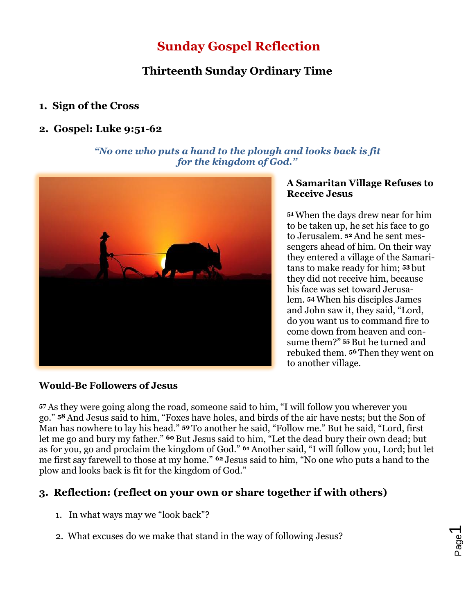# **Sunday Gospel Reflection**

# **Thirteenth Sunday Ordinary Time**

# **1. Sign of the Cross**

### **2. Gospel: Luke 9:51-62**

#### *"No one who puts a hand to the plough and looks back is fit for the kingdom of God."*



#### **A Samaritan Village Refuses to Receive Jesus**

**<sup>51</sup>** When the days drew near for him to be taken up, he set his face to go to Jerusalem. **<sup>52</sup>** And he sent messengers ahead of him. On their way they entered a village of the Samaritans to make ready for him; **<sup>53</sup>** but they did not receive him, because his face was set toward Jerusalem. **<sup>54</sup>** When his disciples James and John saw it, they said, "Lord, do you want us to command fire to come down from heaven and consume them?" **<sup>55</sup>** But he turned and rebuked them. **<sup>56</sup>** Then they went on to another village.

## **Would-Be Followers of Jesus**

**<sup>57</sup>** As they were going along the road, someone said to him, "I will follow you wherever you go." **<sup>58</sup>** And Jesus said to him, "Foxes have holes, and birds of the air have nests; but the Son of Man has nowhere to lay his head." **<sup>59</sup>** To another he said, "Follow me." But he said, "Lord, first let me go and bury my father." **<sup>60</sup>** But Jesus said to him, "Let the dead bury their own dead; but as for you, go and proclaim the kingdom of God." **<sup>61</sup>** Another said, "I will follow you, Lord; but let me first say farewell to those at my home." **<sup>62</sup>** Jesus said to him, "No one who puts a hand to the plow and looks back is fit for the kingdom of God."

# **3. Reflection: (reflect on your own or share together if with others)**

- 1. In what ways may we "look back"?
- 2. What excuses do we make that stand in the way of following Jesus?